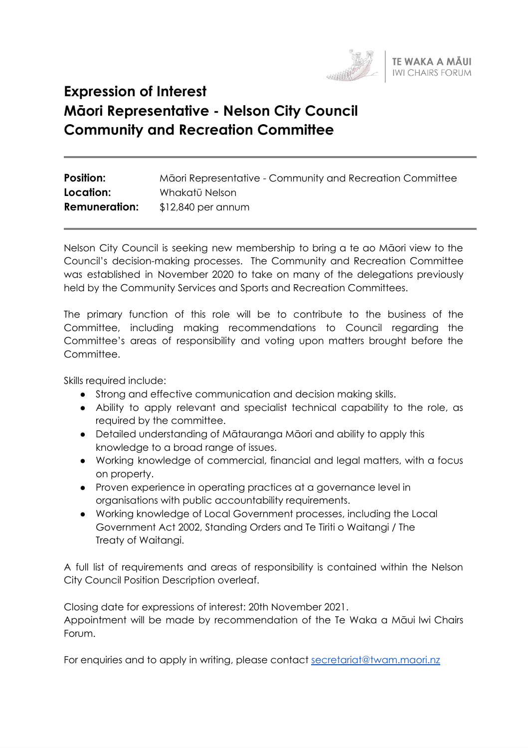

# **Expression of Interest Māori Representative - Nelson City Council Community and Recreation Committee**

| <b>Position:</b>     | Māori Representative - Community and Recreation Committee |
|----------------------|-----------------------------------------------------------|
| Location:            | Whakatū Nelson                                            |
| <b>Remuneration:</b> | $$12,840$ per annum                                       |

Nelson City Council is seeking new membership to bring a te ao Māori view to the Council's decision-making processes. The Community and Recreation Committee was established in November 2020 to take on many of the delegations previously held by the Community Services and Sports and Recreation Committees.

The primary function of this role will be to contribute to the business of the Committee, including making recommendations to Council regarding the Committee's areas of responsibility and voting upon matters brought before the Committee.

Skills required include:

- Strong and effective communication and decision making skills.
- Ability to apply relevant and specialist technical capability to the role, as required by the committee.
- Detailed understanding of Mātauranga Māori and ability to apply this knowledge to a broad range of issues.
- Working knowledge of commercial, financial and legal matters, with a focus on property.
- Proven experience in operating practices at a governance level in organisations with public accountability requirements.
- Working knowledge of Local Government processes, including the Local Government Act 2002, Standing Orders and Te Tiriti o Waitangi / The Treaty of Waitangi.

A full list of requirements and areas of responsibility is contained within the Nelson City Council Position Description overleaf.

Closing date for expressions of interest: 20th November 2021. Appointment will be made by recommendation of the Te Waka a Māui Iwi Chairs Forum.

For enquiries and to apply in writing, please contact [secretariat@twam.maori.nz](mailto:secretariat@twam.maori.nz)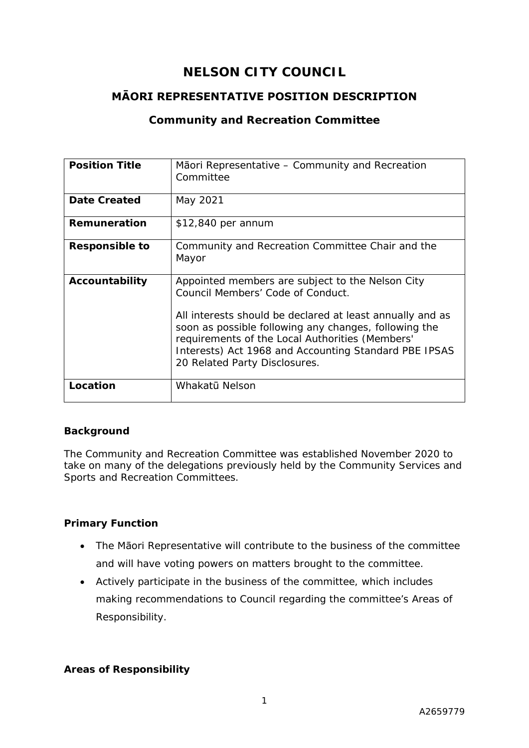# **NELSON CITY COUNCIL**

# **MĀORI REPRESENTATIVE POSITION DESCRIPTION**

# **Community and Recreation Committee**

| <b>Position Title</b> | Maori Representative – Community and Recreation<br>Committee                                                                                                                                                                                                    |
|-----------------------|-----------------------------------------------------------------------------------------------------------------------------------------------------------------------------------------------------------------------------------------------------------------|
| <b>Date Created</b>   | May 2021                                                                                                                                                                                                                                                        |
| Remuneration          | $$12,840$ per annum                                                                                                                                                                                                                                             |
| <b>Responsible to</b> | Community and Recreation Committee Chair and the<br>Mayor                                                                                                                                                                                                       |
| Accountability        | Appointed members are subject to the Nelson City<br>Council Members' Code of Conduct.                                                                                                                                                                           |
|                       | All interests should be declared at least annually and as<br>soon as possible following any changes, following the<br>requirements of the Local Authorities (Members'<br>Interests) Act 1968 and Accounting Standard PBE IPSAS<br>20 Related Party Disclosures. |
| Location              | Whakatū Nelson                                                                                                                                                                                                                                                  |

## **Background**

The Community and Recreation Committee was established November 2020 to take on many of the delegations previously held by the Community Services and Sports and Recreation Committees.

## **Primary Function**

- The Māori Representative will contribute to the business of the committee and will have voting powers on matters brought to the committee.
- Actively participate in the business of the committee, which includes making recommendations to Council regarding the committee's Areas of Responsibility.

## **Areas of Responsibility**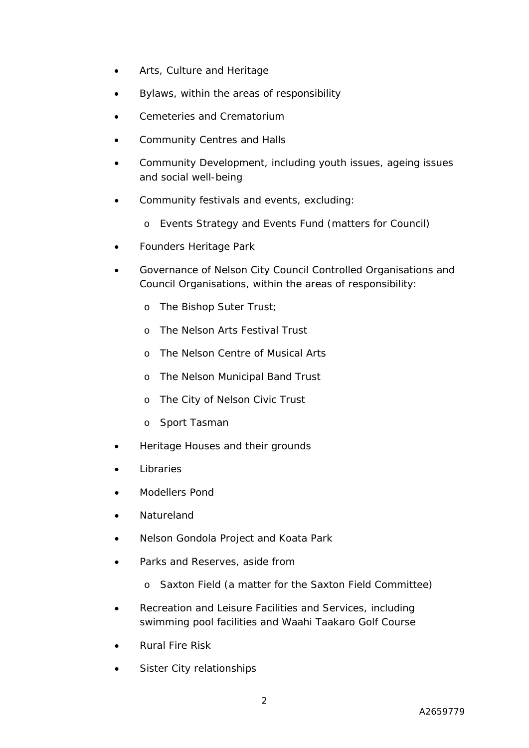- Arts, Culture and Heritage
- Bylaws, within the areas of responsibility
- Cemeteries and Crematorium
- Community Centres and Halls
- Community Development, including youth issues, ageing issues and social well-being
- Community festivals and events, excluding:
	- o Events Strategy and Events Fund (matters for Council)
- Founders Heritage Park
- Governance of Nelson City Council Controlled Organisations and Council Organisations, within the areas of responsibility:
	- o The Bishop Suter Trust;
	- o The Nelson Arts Festival Trust
	- o The Nelson Centre of Musical Arts
	- o The Nelson Municipal Band Trust
	- o The City of Nelson Civic Trust
	- o Sport Tasman
- Heritage Houses and their grounds
- **Libraries**
- Modellers Pond
- **Natureland**
- Nelson Gondola Project and Koata Park
- Parks and Reserves, aside from
	- o Saxton Field (a matter for the Saxton Field Committee)
- Recreation and Leisure Facilities and Services, including swimming pool facilities and Waahi Taakaro Golf Course
- Rural Fire Risk
- Sister City relationships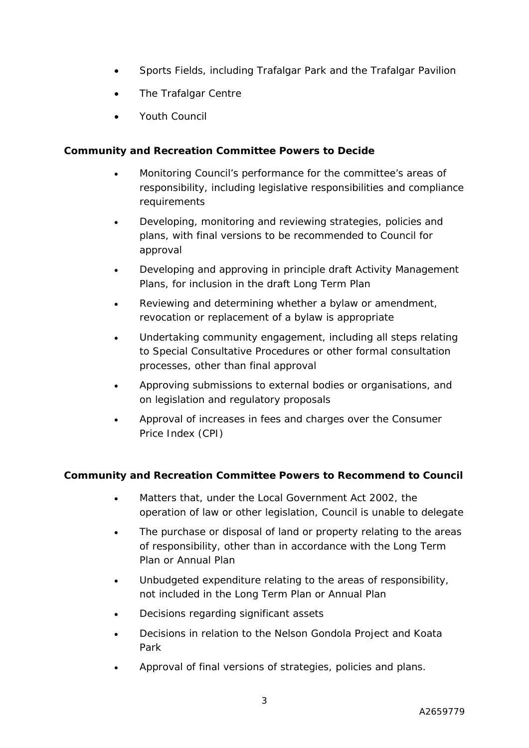- Sports Fields, including Trafalgar Park and the Trafalgar Pavilion
- The Trafalgar Centre
- Youth Council

# **Community and Recreation Committee Powers to Decide**

- Monitoring Council's performance for the committee's areas of responsibility, including legislative responsibilities and compliance requirements
- Developing, monitoring and reviewing strategies, policies and plans, with final versions to be recommended to Council for approval
- Developing and approving in principle draft Activity Management Plans, for inclusion in the draft Long Term Plan
- Reviewing and determining whether a bylaw or amendment, revocation or replacement of a bylaw is appropriate
- Undertaking community engagement, including all steps relating to Special Consultative Procedures or other formal consultation processes, other than final approval
- Approving submissions to external bodies or organisations, and on legislation and regulatory proposals
- Approval of increases in fees and charges over the Consumer Price Index (CPI)

# **Community and Recreation Committee Powers to Recommend to Council**

- Matters that, under the Local Government Act 2002, the operation of law or other legislation, Council is unable to delegate
- The purchase or disposal of land or property relating to the areas of responsibility, other than in accordance with the Long Term Plan or Annual Plan
- Unbudgeted expenditure relating to the areas of responsibility, not included in the Long Term Plan or Annual Plan
- Decisions regarding significant assets
- Decisions in relation to the Nelson Gondola Project and Koata Park
- Approval of final versions of strategies, policies and plans.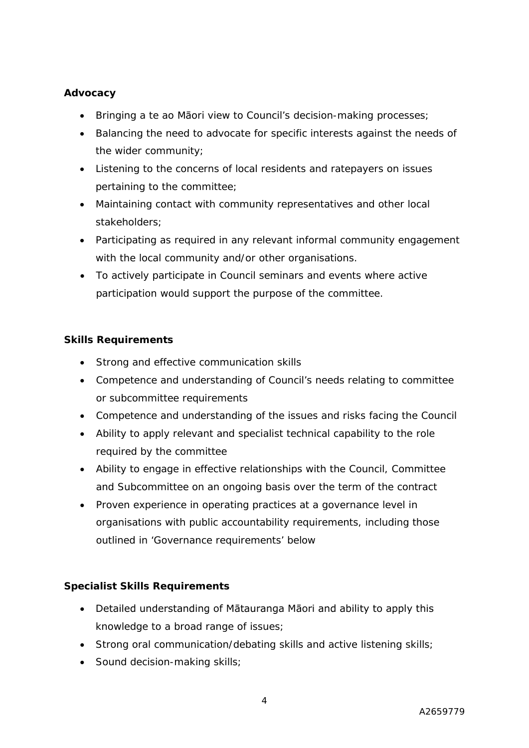## **Advocacy**

- Bringing a te ao Māori view to Council's decision-making processes;
- Balancing the need to advocate for specific interests against the needs of the wider community;
- Listening to the concerns of local residents and ratepayers on issues pertaining to the committee;
- Maintaining contact with community representatives and other local stakeholders;
- Participating as required in any relevant informal community engagement with the local community and/or other organisations.
- To actively participate in Council seminars and events where active participation would support the purpose of the committee.

# **Skills Requirements**

- Strong and effective communication skills
- Competence and understanding of Council's needs relating to committee or subcommittee requirements
- Competence and understanding of the issues and risks facing the Council
- Ability to apply relevant and specialist technical capability to the role required by the committee
- Ability to engage in effective relationships with the Council, Committee and Subcommittee on an ongoing basis over the term of the contract
- Proven experience in operating practices at a governance level in organisations with public accountability requirements, including those outlined in 'Governance requirements' below

## **Specialist Skills Requirements**

- Detailed understanding of Mātauranga Māori and ability to apply this knowledge to a broad range of issues;
- Strong oral communication/debating skills and active listening skills;
- Sound decision-making skills;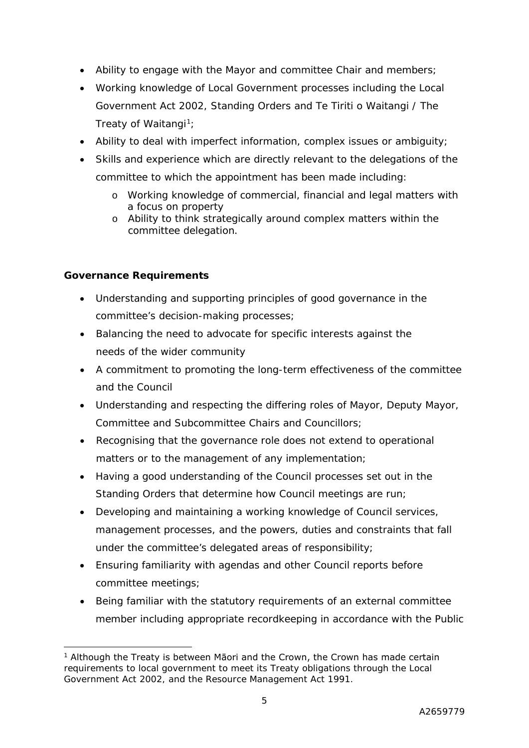- Ability to engage with the Mayor and committee Chair and members;
- Working knowledge of Local Government processes including the Local Government Act 2002, Standing Orders and Te Tiriti o Waitangi / The Treaty of Waitangi<sup>1</sup>;
- Ability to deal with imperfect information, complex issues or ambiguity;
- Skills and experience which are directly relevant to the delegations of the committee to which the appointment has been made including:
	- o Working knowledge of commercial, financial and legal matters with a focus on property
	- o Ability to think strategically around complex matters within the committee delegation.

# **Governance Requirements**

- Understanding and supporting principles of good governance in the committee's decision-making processes;
- Balancing the need to advocate for specific interests against the needs of the wider community
- A commitment to promoting the long-term effectiveness of the committee and the Council
- Understanding and respecting the differing roles of Mayor, Deputy Mayor, Committee and Subcommittee Chairs and Councillors;
- Recognising that the governance role does not extend to operational matters or to the management of any implementation;
- Having a good understanding of the Council processes set out in the Standing Orders that determine how Council meetings are run;
- Developing and maintaining a working knowledge of Council services, management processes, and the powers, duties and constraints that fall under the committee's delegated areas of responsibility;
- Ensuring familiarity with agendas and other Council reports before committee meetings;
- Being familiar with the statutory requirements of an external committee member including appropriate recordkeeping in accordance with the Public

<sup>&</sup>lt;sup>1</sup> Although the Treaty is between Māori and the Crown, the Crown has made certain requirements to local government to meet its Treaty obligations through the Local Government Act 2002, and the Resource Management Act 1991.